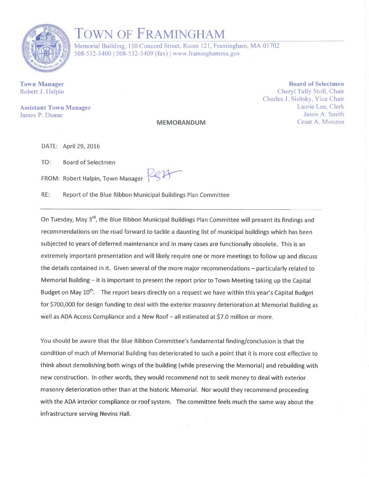

## TOWN OF FRAMINGHAM

Memorial Building, 150 Concord Street, Room 121, Framingham, MA 01702 508-532-5400 | 508-532-5409 (fax) | www.framinghamma.gov

MEMORANDUM

Town Manager Robert J. Halpin

Assistant Town Manager James P. Duane

Board of Selectmen Cheryl Tully Stoll, Chair Charles J. Sisitsky, V ice Chair Laurie Lee, Clerk Jason A. Smith Cesar A. Monzon

DATE: April 29, 2016

TO: Board of Selectmen

FROM: Robert Halpin, Town Manager

RE: Report of the Blue Ribbon Municipal Buildings Plan Committee

On Tuesday, May 3<sup>rd</sup>, the Blue Ribbon Municipal Buildings Plan Committee will present its findings and recommendations onthe road forward to tackle a daunting list of municipal buildings which has been subjected to years of deferred maintenance and in many cases are functionally obsolete. This is an extremely important presentation and will likely require one or more meetings to follow up and discuss the details contained in it. Given several of the more major recommendations —particularly related to Memorial Building — it is important to present the report prior to Town Meeting taking up the Capital Budget on May 10<sup>th</sup>. The report bears directly on a request we have within this year's Capital Budget for \$700,000 for design funding to deal with the exterior masonry deterioration at Memorial Building as well as ADA Access Compliance and a New Roof —all estimated at \$7.0 million or more.

You should be aware that the Blue Ribbon Committee's fundamental finding/conclusion is that the condition of much of Memorial Building has deteriorated to such a point that it is more cost effective to think about demolishing both wings of the building (while preserving the Memorial) and rebuilding with new construction. In other words, they would recommend not to seek money to deal with exterior masonry deterioration other than at the historic Memorial. Nor would they recommend proceeding with the ADA interior compliance or roof system. The committee feels much the same way about the infrastructure serving Nevins Hall.